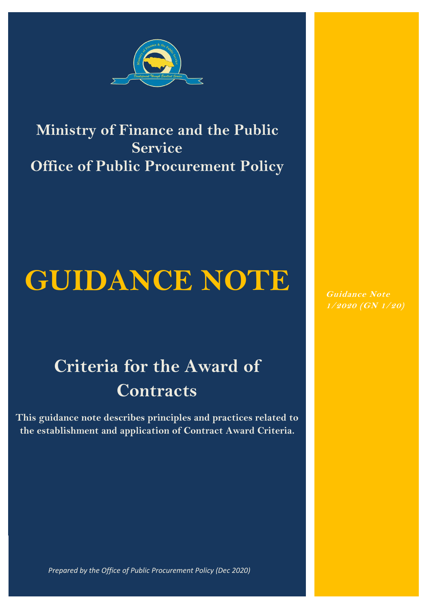

### **Ministry of Finance and the Public Service Office of Public Procurement Policy**

# **GUIDANCE NOTE**

## **Criteria for the Award of Contracts**

**This guidance note describes principles and practices related to the establishment and application of Contract Award Criteria.**

**Guidance Note 1/2020 (GN 1/20)**

*Prepared by the Office of Public Procurement Policy (Dec 20 Prepared by the Office of Public Procurement Policy (Dec 2020)*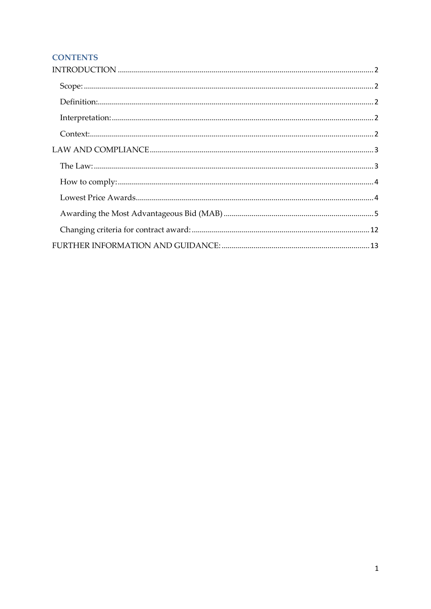#### **CONTENTS**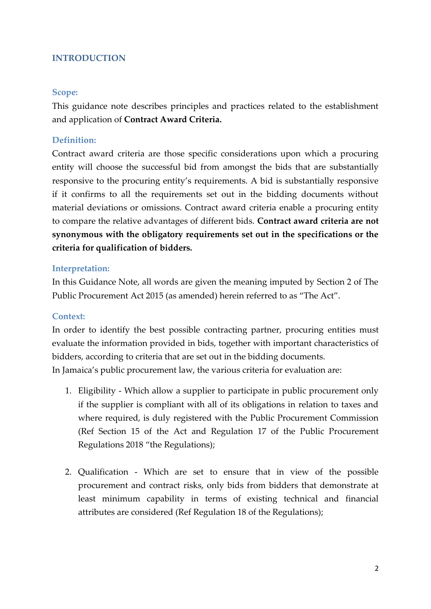#### <span id="page-2-0"></span>**INTRODUCTION**

#### <span id="page-2-1"></span>**Scope:**

This guidance note describes principles and practices related to the establishment and application of **Contract Award Criteria.**

#### <span id="page-2-2"></span>**Definition:**

Contract award criteria are those specific considerations upon which a procuring entity will choose the successful bid from amongst the bids that are substantially responsive to the procuring entity's requirements. A bid is substantially responsive if it confirms to all the requirements set out in the bidding documents without material deviations or omissions. Contract award criteria enable a procuring entity to compare the relative advantages of different bids. **Contract award criteria are not synonymous with the obligatory requirements set out in the specifications or the criteria for qualification of bidders.**

#### <span id="page-2-3"></span>**Interpretation:**

In this Guidance Note, all words are given the meaning imputed by Section 2 of The Public Procurement Act 2015 (as amended) herein referred to as "The Act".

#### <span id="page-2-4"></span>**Context:**

In order to identify the best possible contracting partner, procuring entities must evaluate the information provided in bids, together with important characteristics of bidders, according to criteria that are set out in the bidding documents. In Jamaica's public procurement law, the various criteria for evaluation are:

- 1. Eligibility Which allow a supplier to participate in public procurement only if the supplier is compliant with all of its obligations in relation to taxes and where required, is duly registered with the Public Procurement Commission (Ref Section 15 of the Act and Regulation 17 of the Public Procurement Regulations 2018 "the Regulations);
- 2. Qualification Which are set to ensure that in view of the possible procurement and contract risks, only bids from bidders that demonstrate at least minimum capability in terms of existing technical and financial attributes are considered (Ref Regulation 18 of the Regulations);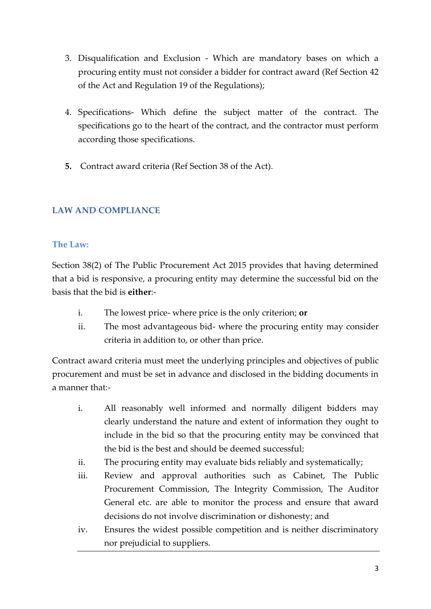- 3. Disqualification and Exclusion Which are mandatory bases on which a procuring entity must not consider a bidder for contract award (Ref Section 42 of the Act and Regulation 19 of the Regulations);
- 4. Specifications- Which define the subject matter of the contract. The specifications go to the heart of the contract, and the contractor must perform according those specifications.
- **5.** Contract award criteria (Ref Section 38 of the Act).

#### <span id="page-3-0"></span>**LAW AND COMPLIANCE**

#### <span id="page-3-1"></span>**The Law:**

Section 38(2) of The Public Procurement Act 2015 provides that having determined that a bid is responsive, a procuring entity may determine the successful bid on the basis that the bid is **either**:-

- i. The lowest price- where price is the only criterion; **or**
- ii. The most advantageous bid- where the procuring entity may consider criteria in addition to, or other than price.

Contract award criteria must meet the underlying principles and objectives of public procurement and must be set in advance and disclosed in the bidding documents in a manner that:-

- i. All reasonably well informed and normally diligent bidders may clearly understand the nature and extent of information they ought to include in the bid so that the procuring entity may be convinced that the bid is the best and should be deemed successful;
- ii. The procuring entity may evaluate bids reliably and systematically;
- iii. Review and approval authorities such as Cabinet, The Public Procurement Commission, The Integrity Commission, The Auditor General etc. are able to monitor the process and ensure that award decisions do not involve discrimination or dishonesty; and
- iv. Ensures the widest possible competition and is neither discriminatory nor prejudicial to suppliers.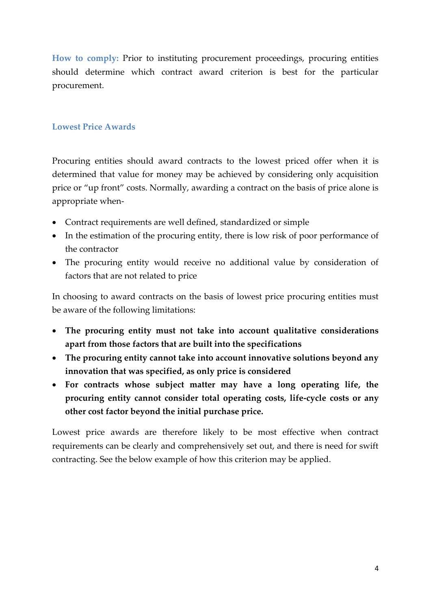<span id="page-4-0"></span>**How to comply:** Prior to instituting procurement proceedings, procuring entities should determine which contract award criterion is best for the particular procurement.

#### <span id="page-4-1"></span>**Lowest Price Awards**

Procuring entities should award contracts to the lowest priced offer when it is determined that value for money may be achieved by considering only acquisition price or "up front" costs. Normally, awarding a contract on the basis of price alone is appropriate when-

- Contract requirements are well defined, standardized or simple
- In the estimation of the procuring entity, there is low risk of poor performance of the contractor
- The procuring entity would receive no additional value by consideration of factors that are not related to price

In choosing to award contracts on the basis of lowest price procuring entities must be aware of the following limitations:

- **The procuring entity must not take into account qualitative considerations apart from those factors that are built into the specifications**
- **The procuring entity cannot take into account innovative solutions beyond any innovation that was specified, as only price is considered**
- **For contracts whose subject matter may have a long operating life, the procuring entity cannot consider total operating costs, life-cycle costs or any other cost factor beyond the initial purchase price.**

Lowest price awards are therefore likely to be most effective when contract requirements can be clearly and comprehensively set out, and there is need for swift contracting. See the below example of how this criterion may be applied.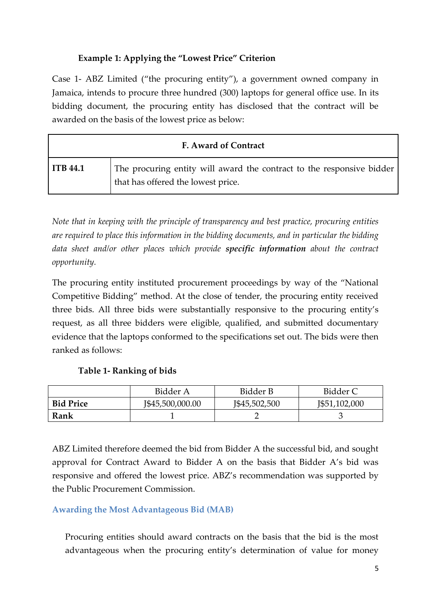#### **Example 1: Applying the "Lowest Price" Criterion**

Case 1- ABZ Limited ("the procuring entity"), a government owned company in Jamaica, intends to procure three hundred (300) laptops for general office use. In its bidding document, the procuring entity has disclosed that the contract will be awarded on the basis of the lowest price as below:

| <b>F. Award of Contract</b> |                                                                                                             |  |  |
|-----------------------------|-------------------------------------------------------------------------------------------------------------|--|--|
| <b>ITB</b> 44.1             | The procuring entity will award the contract to the responsive bidder<br>that has offered the lowest price. |  |  |

*Note that in keeping with the principle of transparency and best practice, procuring entities are required to place this information in the bidding documents, and in particular the bidding data sheet and/or other places which provide specific information about the contract opportunity.*

The procuring entity instituted procurement proceedings by way of the "National Competitive Bidding" method. At the close of tender, the procuring entity received three bids. All three bids were substantially responsive to the procuring entity's request, as all three bidders were eligible, qualified, and submitted documentary evidence that the laptops conformed to the specifications set out. The bids were then ranked as follows:

#### **Table 1- Ranking of bids**

|                  | Bidder A         | Bidder B      | Bidder C      |
|------------------|------------------|---------------|---------------|
| <b>Bid Price</b> | J\$45,500,000.00 | J\$45,502,500 | J\$51,102,000 |
| Rank             |                  |               |               |

ABZ Limited therefore deemed the bid from Bidder A the successful bid, and sought approval for Contract Award to Bidder A on the basis that Bidder A's bid was responsive and offered the lowest price. ABZ's recommendation was supported by the Public Procurement Commission.

#### <span id="page-5-0"></span>**Awarding the Most Advantageous Bid (MAB)**

Procuring entities should award contracts on the basis that the bid is the most advantageous when the procuring entity's determination of value for money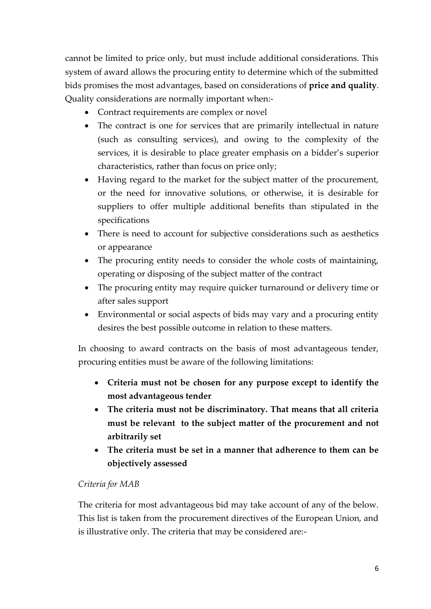cannot be limited to price only, but must include additional considerations. This system of award allows the procuring entity to determine which of the submitted bids promises the most advantages, based on considerations of **price and quality**. Quality considerations are normally important when:-

- Contract requirements are complex or novel
- The contract is one for services that are primarily intellectual in nature (such as consulting services), and owing to the complexity of the services, it is desirable to place greater emphasis on a bidder's superior characteristics, rather than focus on price only;
- Having regard to the market for the subject matter of the procurement, or the need for innovative solutions, or otherwise, it is desirable for suppliers to offer multiple additional benefits than stipulated in the specifications
- There is need to account for subjective considerations such as aesthetics or appearance
- The procuring entity needs to consider the whole costs of maintaining, operating or disposing of the subject matter of the contract
- The procuring entity may require quicker turnaround or delivery time or after sales support
- Environmental or social aspects of bids may vary and a procuring entity desires the best possible outcome in relation to these matters.

In choosing to award contracts on the basis of most advantageous tender, procuring entities must be aware of the following limitations:

- **Criteria must not be chosen for any purpose except to identify the most advantageous tender**
- **The criteria must not be discriminatory. That means that all criteria must be relevant to the subject matter of the procurement and not arbitrarily set**
- **The criteria must be set in a manner that adherence to them can be objectively assessed**

#### *Criteria for MAB*

The criteria for most advantageous bid may take account of any of the below. This list is taken from the procurement directives of the European Union, and is illustrative only. The criteria that may be considered are:-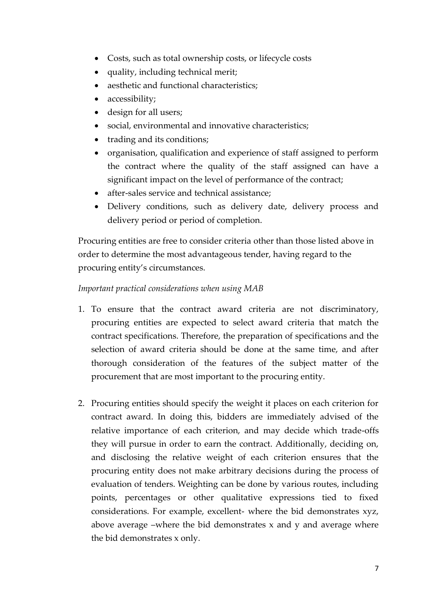- Costs, such as total ownership costs, or lifecycle costs
- quality, including technical merit;
- aesthetic and functional characteristics;
- accessibility;
- design for all users;
- social, environmental and innovative characteristics;
- trading and its conditions;
- organisation, qualification and experience of staff assigned to perform the contract where the quality of the staff assigned can have a significant impact on the level of performance of the contract;
- after-sales service and technical assistance;
- Delivery conditions, such as delivery date, delivery process and delivery period or period of completion.

Procuring entities are free to consider criteria other than those listed above in order to determine the most advantageous tender, having regard to the procuring entity's circumstances.

#### *Important practical considerations when using MAB*

- 1. To ensure that the contract award criteria are not discriminatory, procuring entities are expected to select award criteria that match the contract specifications. Therefore, the preparation of specifications and the selection of award criteria should be done at the same time, and after thorough consideration of the features of the subject matter of the procurement that are most important to the procuring entity.
- 2. Procuring entities should specify the weight it places on each criterion for contract award. In doing this, bidders are immediately advised of the relative importance of each criterion, and may decide which trade-offs they will pursue in order to earn the contract. Additionally, deciding on, and disclosing the relative weight of each criterion ensures that the procuring entity does not make arbitrary decisions during the process of evaluation of tenders. Weighting can be done by various routes, including points, percentages or other qualitative expressions tied to fixed considerations. For example, excellent- where the bid demonstrates xyz, above average –where the bid demonstrates x and y and average where the bid demonstrates x only.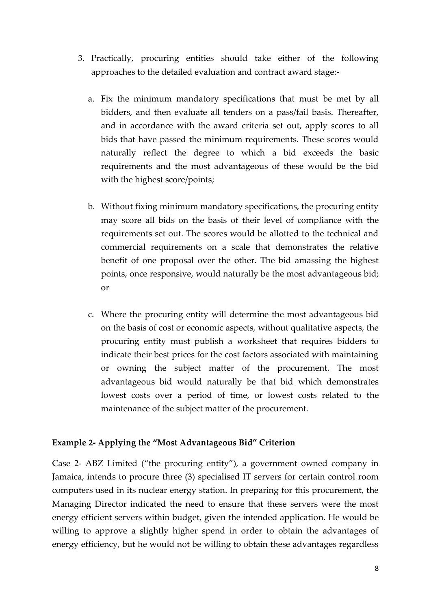- 3. Practically, procuring entities should take either of the following approaches to the detailed evaluation and contract award stage:
	- a. Fix the minimum mandatory specifications that must be met by all bidders, and then evaluate all tenders on a pass/fail basis. Thereafter, and in accordance with the award criteria set out, apply scores to all bids that have passed the minimum requirements. These scores would naturally reflect the degree to which a bid exceeds the basic requirements and the most advantageous of these would be the bid with the highest score/points;
	- b. Without fixing minimum mandatory specifications, the procuring entity may score all bids on the basis of their level of compliance with the requirements set out. The scores would be allotted to the technical and commercial requirements on a scale that demonstrates the relative benefit of one proposal over the other. The bid amassing the highest points, once responsive, would naturally be the most advantageous bid; or
	- c. Where the procuring entity will determine the most advantageous bid on the basis of cost or economic aspects, without qualitative aspects, the procuring entity must publish a worksheet that requires bidders to indicate their best prices for the cost factors associated with maintaining or owning the subject matter of the procurement. The most advantageous bid would naturally be that bid which demonstrates lowest costs over a period of time, or lowest costs related to the maintenance of the subject matter of the procurement.

#### **Example 2- Applying the "Most Advantageous Bid" Criterion**

Case 2- ABZ Limited ("the procuring entity"), a government owned company in Jamaica, intends to procure three (3) specialised IT servers for certain control room computers used in its nuclear energy station. In preparing for this procurement, the Managing Director indicated the need to ensure that these servers were the most energy efficient servers within budget, given the intended application. He would be willing to approve a slightly higher spend in order to obtain the advantages of energy efficiency, but he would not be willing to obtain these advantages regardless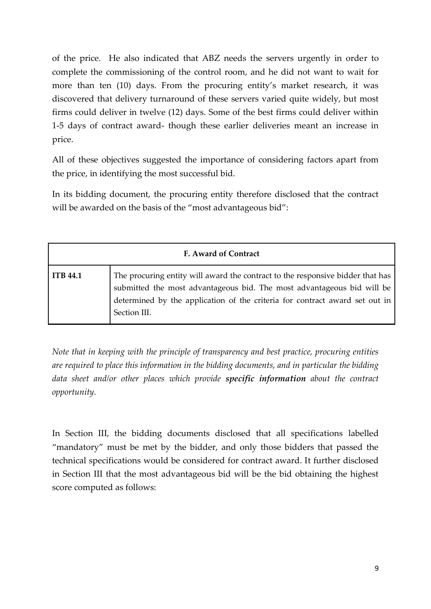of the price. He also indicated that ABZ needs the servers urgently in order to complete the commissioning of the control room, and he did not want to wait for more than ten (10) days. From the procuring entity's market research, it was discovered that delivery turnaround of these servers varied quite widely, but most firms could deliver in twelve (12) days. Some of the best firms could deliver within 1-5 days of contract award- though these earlier deliveries meant an increase in price.

All of these objectives suggested the importance of considering factors apart from the price, in identifying the most successful bid.

In its bidding document, the procuring entity therefore disclosed that the contract will be awarded on the basis of the "most advantageous bid":

| F. Award of Contract |                                                                                                                                                                                                                                                         |  |  |  |
|----------------------|---------------------------------------------------------------------------------------------------------------------------------------------------------------------------------------------------------------------------------------------------------|--|--|--|
| <b>ITB 44.1</b>      | The procuring entity will award the contract to the responsive bidder that has<br>submitted the most advantageous bid. The most advantageous bid will be<br>determined by the application of the criteria for contract award set out in<br>Section III. |  |  |  |

*Note that in keeping with the principle of transparency and best practice, procuring entities are required to place this information in the bidding documents, and in particular the bidding data sheet and/or other places which provide specific information about the contract opportunity.*

In Section III, the bidding documents disclosed that all specifications labelled "mandatory" must be met by the bidder, and only those bidders that passed the technical specifications would be considered for contract award. It further disclosed in Section III that the most advantageous bid will be the bid obtaining the highest score computed as follows: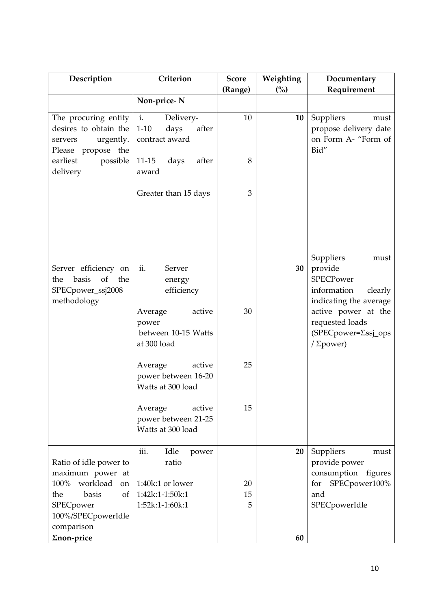| Criterion<br>Description                                                                       |                                                                  | <b>Score</b><br>(Range) | Weighting<br>(%) | Documentary<br>Requirement                                                                           |
|------------------------------------------------------------------------------------------------|------------------------------------------------------------------|-------------------------|------------------|------------------------------------------------------------------------------------------------------|
|                                                                                                | Non-price-N                                                      |                         |                  |                                                                                                      |
| The procuring entity<br>desires to obtain the<br>urgently.<br>servers<br>Please propose<br>the | i.<br>Delivery-<br>$1 - 10$<br>days<br>after<br>contract award   | 10                      | 10               | Suppliers<br>must<br>propose delivery date<br>on Form A- "Form of<br>Bid"                            |
| earliest<br>possible<br>delivery                                                               | days<br>$11-15$<br>after<br>award                                | 8                       |                  |                                                                                                      |
|                                                                                                | Greater than 15 days                                             | 3                       |                  |                                                                                                      |
| Server efficiency on<br>of<br>basis<br>the<br>the<br>SPECpower_ssj2008<br>methodology          | ii.<br>Server<br>energy<br>efficiency                            |                         | 30               | Suppliers<br>must<br>provide<br><b>SPECPower</b><br>information<br>clearly<br>indicating the average |
|                                                                                                | active<br>Average<br>power<br>between 10-15 Watts<br>at 300 load | 30                      |                  | active power at the<br>requested loads<br>(SPECpower=∑ssj_ops<br>/ $\Sigma$ power)                   |
|                                                                                                | active<br>Average<br>power between 16-20<br>Watts at 300 load    | 25                      |                  |                                                                                                      |
|                                                                                                | Average<br>active<br>power between 21-25<br>Watts at 300 load    | 15                      |                  |                                                                                                      |
| Ratio of idle power to<br>maximum power at                                                     | iii.<br>Idle<br>power<br>ratio                                   |                         | 20               | Suppliers<br>must<br>provide power<br>consumption figures                                            |
| workload<br>100%<br>on<br>basis<br>the<br>$\sigma$ f<br>SPECpower<br>100%/SPECpowerIdle        | $1:40k:1$ or lower<br>$1:42k:1-1:50k:1$<br>1:52k:1-1:60k:1       | 20<br>15<br>5           |                  | for SPECpower100%<br>and<br>SPECpowerIdle                                                            |
| comparison<br>Σnon-price                                                                       |                                                                  |                         | 60               |                                                                                                      |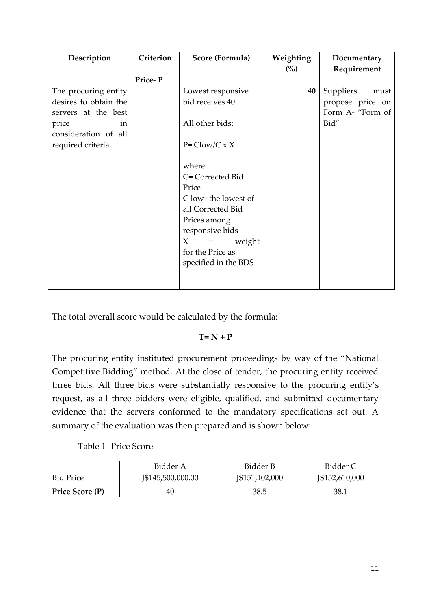| Description           | Criterion | Score (Formula)                  | Weighting | Documentary       |
|-----------------------|-----------|----------------------------------|-----------|-------------------|
|                       |           |                                  | (%)       | Requirement       |
|                       | Price-P   |                                  |           |                   |
| The procuring entity  |           | Lowest responsive                | 40        | Suppliers<br>must |
| desires to obtain the |           | bid receives 40                  |           | propose price on  |
| servers at the best   |           |                                  |           | Form A- "Form of  |
| price<br>in           |           | All other bids:                  |           | Bid"              |
| consideration of all  |           |                                  |           |                   |
| required criteria     |           | $P = Clow/C \times X$            |           |                   |
|                       |           |                                  |           |                   |
|                       |           | where                            |           |                   |
|                       |           | C= Corrected Bid                 |           |                   |
|                       |           | Price                            |           |                   |
|                       |           | C low=the lowest of              |           |                   |
|                       |           | all Corrected Bid                |           |                   |
|                       |           | Prices among                     |           |                   |
|                       |           | responsive bids                  |           |                   |
|                       |           | X<br>weight<br>$\qquad \qquad =$ |           |                   |
|                       |           | for the Price as                 |           |                   |
|                       |           | specified in the BDS             |           |                   |
|                       |           |                                  |           |                   |
|                       |           |                                  |           |                   |

The total overall score would be calculated by the formula:

#### **T= N + P**

The procuring entity instituted procurement proceedings by way of the "National Competitive Bidding" method. At the close of tender, the procuring entity received three bids. All three bids were substantially responsive to the procuring entity's request, as all three bidders were eligible, qualified, and submitted documentary evidence that the servers conformed to the mandatory specifications set out. A summary of the evaluation was then prepared and is shown below:

#### Table 1- Price Score

|                  | Bidder A          | Bidder B       | Bidder C       |
|------------------|-------------------|----------------|----------------|
| <b>Bid Price</b> | J\$145,500,000.00 | J\$151,102,000 | J\$152,610,000 |
| Price Score (P)  | 40                | 38.5           | 38.1           |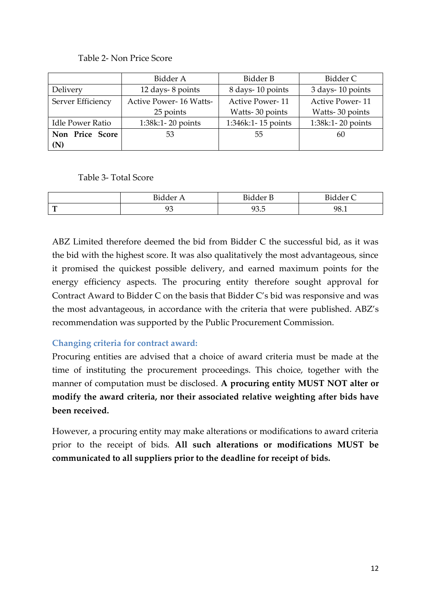#### Table 2- Non Price Score

|                         | Bidder A                      | Bidder B               | Bidder C               |
|-------------------------|-------------------------------|------------------------|------------------------|
| Delivery                | 12 days-8 points              | 8 days-10 points       | 3 days-10 points       |
| Server Efficiency       | <b>Active Power-16 Watts-</b> | <b>Active Power-11</b> | <b>Active Power-11</b> |
|                         | 25 points                     | Watts-30 points        | Watts-30 points        |
| <b>Idle Power Ratio</b> | 1:38k:1-20 points             | 1:346k:1-15 points     | 1:38k:1-20 points      |
| Non Price Score         | 53                            | 55                     | 60                     |
| (N)                     |                               |                        |                        |

#### Table 3- Total Score

|        | $\mathbf{m}$<br>้<br>P1 | −∙<br>$1 \rho r$<br><b>DIUUCL</b> | $\mathbf{\mathbf{\cdot}}$<br>$-1$<br>Diadel<br>$\check{~}$ |
|--------|-------------------------|-----------------------------------|------------------------------------------------------------|
| ౼<br>- | . .<br>ノレ               | -<br>∩∩<br>◡<br>ノフ・マ              | QQ<br>20.1                                                 |

ABZ Limited therefore deemed the bid from Bidder C the successful bid, as it was the bid with the highest score. It was also qualitatively the most advantageous, since it promised the quickest possible delivery, and earned maximum points for the energy efficiency aspects. The procuring entity therefore sought approval for Contract Award to Bidder C on the basis that Bidder C's bid was responsive and was the most advantageous, in accordance with the criteria that were published. ABZ's recommendation was supported by the Public Procurement Commission.

#### <span id="page-12-0"></span>**Changing criteria for contract award:**

Procuring entities are advised that a choice of award criteria must be made at the time of instituting the procurement proceedings. This choice, together with the manner of computation must be disclosed. **A procuring entity MUST NOT alter or modify the award criteria, nor their associated relative weighting after bids have been received.**

However, a procuring entity may make alterations or modifications to award criteria prior to the receipt of bids. **All such alterations or modifications MUST be communicated to all suppliers prior to the deadline for receipt of bids.**